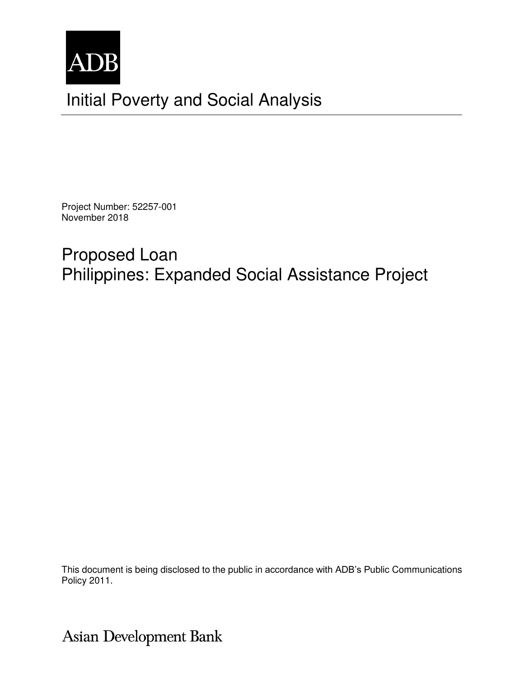

Project Number: 52257-001 November 2018

# Proposed Loan Philippines: Expanded Social Assistance Project

This document is being disclosed to the public in accordance with ADB's Public Communications Policy 2011.

**Asian Development Bank**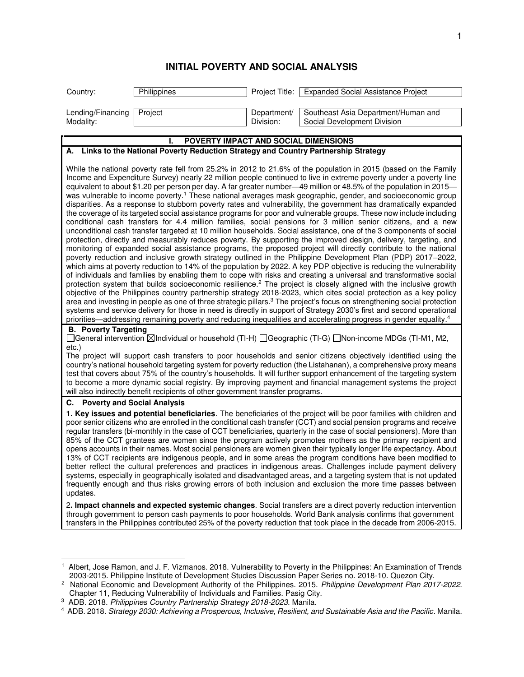## **INITIAL POVERTY AND SOCIAL ANALYSIS**

| Country:                                 | Philippines                                                                          |                          | Project Title:   Expanded Social Assistance Project                                                                                                                                                                                                                                                                                                                                                                                                                                                                                                                                                                                                                                                                                                                                                                                                                                                                                                                                                                                                                                                                                                                                                                                                                                                                                                                                                                                                                                                                                                                                                                                                                                                                                                                                                                                                                                                                                                                         |
|------------------------------------------|--------------------------------------------------------------------------------------|--------------------------|-----------------------------------------------------------------------------------------------------------------------------------------------------------------------------------------------------------------------------------------------------------------------------------------------------------------------------------------------------------------------------------------------------------------------------------------------------------------------------------------------------------------------------------------------------------------------------------------------------------------------------------------------------------------------------------------------------------------------------------------------------------------------------------------------------------------------------------------------------------------------------------------------------------------------------------------------------------------------------------------------------------------------------------------------------------------------------------------------------------------------------------------------------------------------------------------------------------------------------------------------------------------------------------------------------------------------------------------------------------------------------------------------------------------------------------------------------------------------------------------------------------------------------------------------------------------------------------------------------------------------------------------------------------------------------------------------------------------------------------------------------------------------------------------------------------------------------------------------------------------------------------------------------------------------------------------------------------------------------|
| Lending/Financing<br>Modality:           | Project                                                                              | Department/<br>Division: | Southeast Asia Department/Human and<br>Social Development Division                                                                                                                                                                                                                                                                                                                                                                                                                                                                                                                                                                                                                                                                                                                                                                                                                                                                                                                                                                                                                                                                                                                                                                                                                                                                                                                                                                                                                                                                                                                                                                                                                                                                                                                                                                                                                                                                                                          |
|                                          | POVERTY IMPACT AND SOCIAL DIMENSIONS                                                 |                          |                                                                                                                                                                                                                                                                                                                                                                                                                                                                                                                                                                                                                                                                                                                                                                                                                                                                                                                                                                                                                                                                                                                                                                                                                                                                                                                                                                                                                                                                                                                                                                                                                                                                                                                                                                                                                                                                                                                                                                             |
|                                          | A. Links to the National Poverty Reduction Strategy and Country Partnership Strategy |                          |                                                                                                                                                                                                                                                                                                                                                                                                                                                                                                                                                                                                                                                                                                                                                                                                                                                                                                                                                                                                                                                                                                                                                                                                                                                                                                                                                                                                                                                                                                                                                                                                                                                                                                                                                                                                                                                                                                                                                                             |
|                                          |                                                                                      |                          | While the national poverty rate fell from 25.2% in 2012 to 21.6% of the population in 2015 (based on the Family<br>Income and Expenditure Survey) nearly 22 million people continued to live in extreme poverty under a poverty line<br>equivalent to about \$1.20 per person per day. A far greater number—49 million or 48.5% of the population in 2015—<br>was vulnerable to income poverty. <sup>1</sup> These national averages mask geographic, gender, and socioeconomic group<br>disparities. As a response to stubborn poverty rates and vulnerability, the government has dramatically expanded<br>the coverage of its targeted social assistance programs for poor and vulnerable groups. These now include including<br>conditional cash transfers for 4.4 million families, social pensions for 3 million senior citizens, and a new<br>unconditional cash transfer targeted at 10 million households. Social assistance, one of the 3 components of social<br>protection, directly and measurably reduces poverty. By supporting the improved design, delivery, targeting, and<br>monitoring of expanded social assistance programs, the proposed project will directly contribute to the national<br>poverty reduction and inclusive growth strategy outlined in the Philippine Development Plan (PDP) 2017-2022,<br>which aims at poverty reduction to 14% of the population by 2022. A key PDP objective is reducing the vulnerability<br>of individuals and families by enabling them to cope with risks and creating a universal and transformative social<br>protection system that builds socioeconomic resilience. <sup>2</sup> The project is closely aligned with the inclusive growth<br>objective of the Philippines country partnership strategy 2018-2023, which cites social protection as a key policy<br>area and investing in people as one of three strategic pillars. <sup>3</sup> The project's focus on strengthening social protection |
|                                          |                                                                                      |                          | systems and service delivery for those in need is directly in support of Strategy 2030's first and second operational<br>priorities—addressing remaining poverty and reducing inequalities and accelerating progress in gender equality. <sup>4</sup>                                                                                                                                                                                                                                                                                                                                                                                                                                                                                                                                                                                                                                                                                                                                                                                                                                                                                                                                                                                                                                                                                                                                                                                                                                                                                                                                                                                                                                                                                                                                                                                                                                                                                                                       |
| <b>B.</b> Poverty Targeting<br>$etc.$ )  |                                                                                      |                          | [General intervention ⊠Individual or household (TI-H) [ Geographic (TI-G) [ Non-income MDGs (TI-M1, M2,                                                                                                                                                                                                                                                                                                                                                                                                                                                                                                                                                                                                                                                                                                                                                                                                                                                                                                                                                                                                                                                                                                                                                                                                                                                                                                                                                                                                                                                                                                                                                                                                                                                                                                                                                                                                                                                                     |
|                                          | will also indirectly benefit recipients of other government transfer programs.       |                          | The project will support cash transfers to poor households and senior citizens objectively identified using the<br>country's national household targeting system for poverty reduction (the Listahanan), a comprehensive proxy means<br>test that covers about 75% of the country's households. It will further support enhancement of the targeting system<br>to become a more dynamic social registry. By improving payment and financial management systems the project                                                                                                                                                                                                                                                                                                                                                                                                                                                                                                                                                                                                                                                                                                                                                                                                                                                                                                                                                                                                                                                                                                                                                                                                                                                                                                                                                                                                                                                                                                  |
| <b>Poverty and Social Analysis</b><br>C. |                                                                                      |                          |                                                                                                                                                                                                                                                                                                                                                                                                                                                                                                                                                                                                                                                                                                                                                                                                                                                                                                                                                                                                                                                                                                                                                                                                                                                                                                                                                                                                                                                                                                                                                                                                                                                                                                                                                                                                                                                                                                                                                                             |
| updates.                                 |                                                                                      |                          | 1. Key issues and potential beneficiaries. The beneficiaries of the project will be poor families with children and<br>poor senior citizens who are enrolled in the conditional cash transfer (CCT) and social pension programs and receive<br>regular transfers (bi-monthly in the case of CCT beneficiaries, quarterly in the case of social pensioners). More than<br>85% of the CCT grantees are women since the program actively promotes mothers as the primary recipient and<br>opens accounts in their names. Most social pensioners are women given their typically longer life expectancy. About<br>13% of CCT recipients are indigenous people, and in some areas the program conditions have been modified to<br>better reflect the cultural preferences and practices in indigenous areas. Challenges include payment delivery<br>systems, especially in geographically isolated and disadvantaged areas, and a targeting system that is not updated<br>frequently enough and thus risks growing errors of both inclusion and exclusion the more time passes between                                                                                                                                                                                                                                                                                                                                                                                                                                                                                                                                                                                                                                                                                                                                                                                                                                                                                           |
|                                          |                                                                                      |                          | 2. Impact channels and expected systemic changes. Social transfers are a direct poverty reduction intervention<br>through government to person cash payments to poor households. World Bank analysis confirms that government<br>transfers in the Philippines contributed 25% of the poverty reduction that took place in the decade from 2006-2015.                                                                                                                                                                                                                                                                                                                                                                                                                                                                                                                                                                                                                                                                                                                                                                                                                                                                                                                                                                                                                                                                                                                                                                                                                                                                                                                                                                                                                                                                                                                                                                                                                        |
|                                          |                                                                                      |                          |                                                                                                                                                                                                                                                                                                                                                                                                                                                                                                                                                                                                                                                                                                                                                                                                                                                                                                                                                                                                                                                                                                                                                                                                                                                                                                                                                                                                                                                                                                                                                                                                                                                                                                                                                                                                                                                                                                                                                                             |

<sup>1</sup> Albert, Jose Ramon, and J. F. Vizmanos. 2018. Vulnerability to Poverty in the Philippines: An Examination of Trends 2003-2015. Philippine Institute of Development Studies Discussion Paper Series no. 2018-10. Quezon City.

<sup>&</sup>lt;sup>2</sup> National Economic and Development Authority of the Philippines. 2015. Philippine Development Plan 2017-2022. Chapter 11, Reducing Vulnerability of Individuals and Families. Pasig City.

<sup>&</sup>lt;sup>3</sup> ADB. 2018. Philippines Country Partnership Strategy 2018-2023. Manila.

<sup>4</sup> ADB. 2018. Strategy 2030: Achieving a Prosperous, Inclusive, Resilient, and Sustainable Asia and the Pacific. Manila.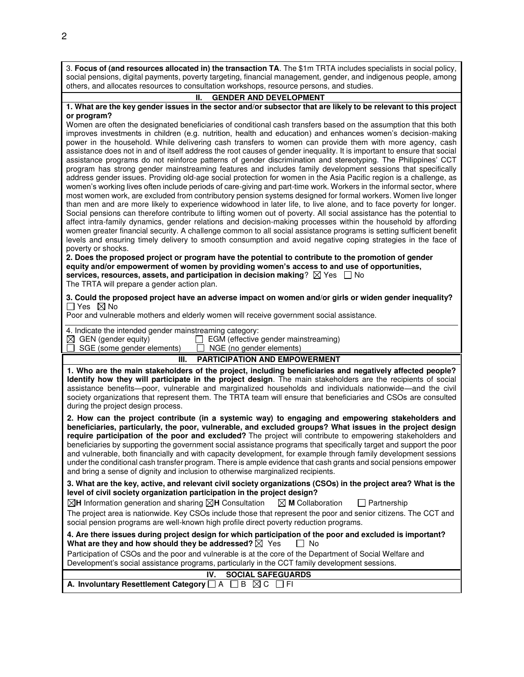3. **Focus of (and resources allocated in) the transaction TA**. The \$1m TRTA includes specialists in social policy, social pensions, digital payments, poverty targeting, financial management, gender, and indigenous people, among others, and allocates resources to consultation workshops, resource persons, and studies.

#### **II. GENDER AND DEVELOPMENT**

#### **1. What are the key gender issues in the sector and/or subsector that are likely to be relevant to this project or program?**

Women are often the designated beneficiaries of conditional cash transfers based on the assumption that this both improves investments in children (e.g. nutrition, health and education) and enhances women's decision-making power in the household. While delivering cash transfers to women can provide them with more agency, cash assistance does not in and of itself address the root causes of gender inequality. It is important to ensure that social assistance programs do not reinforce patterns of gender discrimination and stereotyping. The Philippines' CCT program has strong gender mainstreaming features and includes family development sessions that specifically address gender issues. Providing old-age social protection for women in the Asia Pacific region is a challenge, as women's working lives often include periods of care-giving and part-time work. Workers in the informal sector, where most women work, are excluded from contributory pension systems designed for formal workers. Women live longer than men and are more likely to experience widowhood in later life, to live alone, and to face poverty for longer. Social pensions can therefore contribute to lifting women out of poverty. All social assistance has the potential to affect intra-family dynamics, gender relations and decision-making processes within the household by affording women greater financial security. A challenge common to all social assistance programs is setting sufficient benefit levels and ensuring timely delivery to smooth consumption and avoid negative coping strategies in the face of poverty or shocks.

**2. Does the proposed project or program have the potential to contribute to the promotion of gender equity and/or empowerment of women by providing women's access to and use of opportunities, services, resources, assets, and participation in decision making**?  $\boxtimes$  Yes  $\Box$  No The TRTA will prepare a gender action plan.

**3. Could the proposed project have an adverse impact on women and/or girls or widen gender inequality?**   $\Box$  Yes  $\boxtimes$  No

Poor and vulnerable mothers and elderly women will receive government social assistance.

|  |  |  | 4. Indicate the intended gender mainstreaming category: |
|--|--|--|---------------------------------------------------------|
|  |  |  |                                                         |

 $\boxtimes$  GEN (gender equity)  $\Box$  EGM (effective gender mainstreaming)  $\Box$  SGE (some gender elements)  $\Box$  NGE (no gender elements)

SGE (some gender elements)

### **III. PARTICIPATION AND EMPOWERMENT**

**1. Who are the main stakeholders of the project, including beneficiaries and negatively affected people? Identify how they will participate in the project design**. The main stakeholders are the recipients of social assistance benefits—poor, vulnerable and marginalized households and individuals nationwide—and the civil society organizations that represent them. The TRTA team will ensure that beneficiaries and CSOs are consulted during the project design process.

**2. How can the project contribute (in a systemic way) to engaging and empowering stakeholders and beneficiaries, particularly, the poor, vulnerable, and excluded groups? What issues in the project design require participation of the poor and excluded?** The project will contribute to empowering stakeholders and beneficiaries by supporting the government social assistance programs that specifically target and support the poor and vulnerable, both financially and with capacity development, for example through family development sessions under the conditional cash transfer program. There is ample evidence that cash grants and social pensions empower and bring a sense of dignity and inclusion to otherwise marginalized recipients.

**3. What are the key, active, and relevant civil society organizations (CSOs) in the project area? What is the level of civil society organization participation in the project design?**

 $\boxtimes$ **H** Information generation and sharing  $\boxtimes$ **H** Consultation  $\boxtimes$  **M** Collaboration  $\Box$  Partnership The project area is nationwide. Key CSOs include those that represent the poor and senior citizens. The CCT and social pension programs are well-known high profile direct poverty reduction programs.

| 4. Are there issues during project design for which participation of the poor and excluded is important? |        |  |
|----------------------------------------------------------------------------------------------------------|--------|--|
| What are they and how should they be addressed? $\boxtimes$ Yes                                          | l I No |  |

Participation of CSOs and the poor and vulnerable is at the core of the Department of Social Welfare and Development's social assistance programs, particularly in the CCT family development sessions.

|                                                                                | IV. SOCIAL SAFEGUARDS |
|--------------------------------------------------------------------------------|-----------------------|
| A. Involuntary Resettlement Category $\Box$ A $\Box$ B $\boxtimes$ C $\Box$ FI |                       |